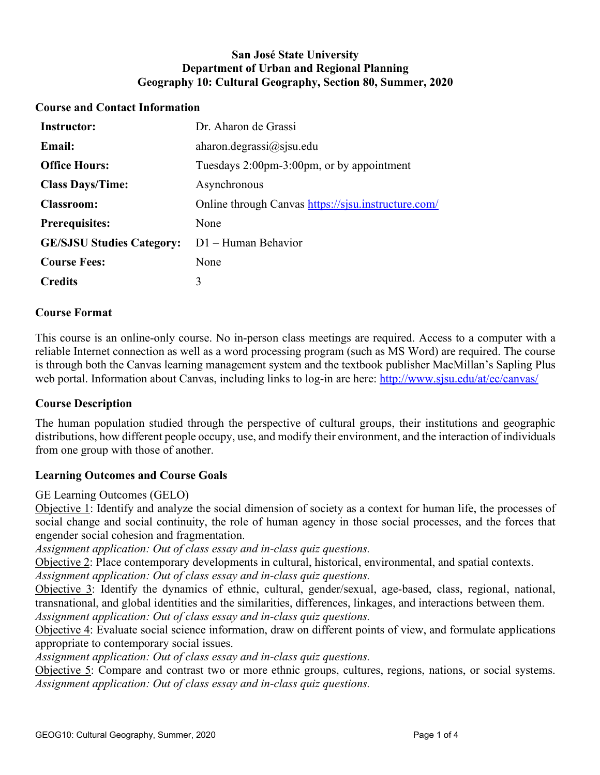## **San José State University Department of Urban and Regional Planning Geography 10: Cultural Geography, Section 80, Summer, 2020**

### **Course and Contact Information**

| <b>Instructor:</b>               | Dr. Aharon de Grassi                                |
|----------------------------------|-----------------------------------------------------|
| <b>Email:</b>                    | aharon.degrassi $\omega$ sjsu.edu                   |
| <b>Office Hours:</b>             | Tuesdays 2:00pm-3:00pm, or by appointment           |
| <b>Class Days/Time:</b>          | Asynchronous                                        |
| <b>Classroom:</b>                | Online through Canvas https://sjsu.instructure.com/ |
| <b>Prerequisites:</b>            | None                                                |
| <b>GE/SJSU Studies Category:</b> | D1 – Human Behavior                                 |
| <b>Course Fees:</b>              | None                                                |
| <b>Credits</b>                   | 3                                                   |

### **Course Format**

This course is an online-only course. No in-person class meetings are required. Access to a computer with a reliable Internet connection as well as a word processing program (such as MS Word) are required. The course is through both the Canvas learning management system and the textbook publisher MacMillan's Sapling Plus web portal. Information about Canvas, including links to log-in are here:<http://www.sjsu.edu/at/ec/canvas/>

#### **Course Description**

The human population studied through the perspective of cultural groups, their institutions and geographic distributions, how different people occupy, use, and modify their environment, and the interaction of individuals from one group with those of another.

#### **Learning Outcomes and Course Goals**

GE Learning Outcomes (GELO)

Objective 1: Identify and analyze the social dimension of society as a context for human life, the processes of social change and social continuity, the role of human agency in those social processes, and the forces that engender social cohesion and fragmentation.

*Assignment application: Out of class essay and in-class quiz questions.*

Objective 2: Place contemporary developments in cultural, historical, environmental, and spatial contexts.

*Assignment application: Out of class essay and in-class quiz questions.*

Objective 3: Identify the dynamics of ethnic, cultural, gender/sexual, age-based, class, regional, national, transnational, and global identities and the similarities, differences, linkages, and interactions between them. *Assignment application: Out of class essay and in-class quiz questions.*

Objective 4: Evaluate social science information, draw on different points of view, and formulate applications appropriate to contemporary social issues.

*Assignment application: Out of class essay and in-class quiz questions.*

Objective 5: Compare and contrast two or more ethnic groups, cultures, regions, nations, or social systems. *Assignment application: Out of class essay and in-class quiz questions.*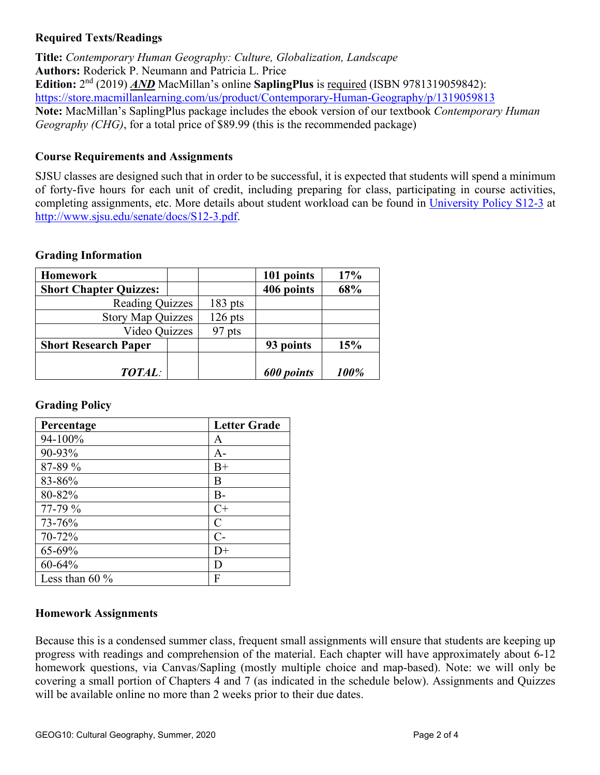## **Required Texts/Readings**

**Title:** *Contemporary Human Geography: Culture, Globalization, Landscape* **Authors:** Roderick P. Neumann and Patricia L. Price **Edition:** 2nd (2019) *AND* MacMillan's online **SaplingPlus** is required (ISBN 9781319059842): <https://store.macmillanlearning.com/us/product/Contemporary-Human-Geography/p/1319059813> **Note:** MacMillan's SaplingPlus package includes the ebook version of our textbook *Contemporary Human Geography (CHG)*, for a total price of \$89.99 (this is the recommended package)

## **Course Requirements and Assignments**

SJSU classes are designed such that in order to be successful, it is expected that students will spend a minimum of forty-five hours for each unit of credit, including preparing for class, participating in course activities, completing assignments, etc. More details about student workload can be found in [University Policy S12-3](http://www.sjsu.edu/senate/docs/S12-3.pdf) at [http://www.sjsu.edu/senate/docs/S12-3.pdf.](http://www.sjsu.edu/senate/docs/S12-3.pdf)

### **Grading Information**

| <b>Homework</b>               |  |           | 101 points | 17%  |
|-------------------------------|--|-----------|------------|------|
| <b>Short Chapter Quizzes:</b> |  |           | 406 points | 68%  |
| <b>Reading Quizzes</b>        |  | $183$ pts |            |      |
| <b>Story Map Quizzes</b>      |  | $126$ pts |            |      |
| Video Quizzes                 |  | 97 pts    |            |      |
| <b>Short Research Paper</b>   |  |           | 93 points  | 15%  |
| <b>TOTAL:</b>                 |  |           | 600 points | 100% |

#### **Grading Policy**

| Percentage        | <b>Letter Grade</b> |
|-------------------|---------------------|
| 94-100%           | A                   |
| 90-93%            | $A -$               |
| 87-89 %           | $B+$                |
| 83-86%            | B                   |
| 80-82%            | $B -$               |
| 77-79 %           | $C+$                |
| 73-76%            | $\mathcal C$        |
| 70-72%            | $C$ -               |
| 65-69%            | D+                  |
| $60 - 64%$        | D                   |
| Less than 60 $\%$ | F                   |

## **Homework Assignments**

Because this is a condensed summer class, frequent small assignments will ensure that students are keeping up progress with readings and comprehension of the material. Each chapter will have approximately about 6-12 homework questions, via Canvas/Sapling (mostly multiple choice and map-based). Note: we will only be covering a small portion of Chapters 4 and 7 (as indicated in the schedule below). Assignments and Quizzes will be available online no more than 2 weeks prior to their due dates.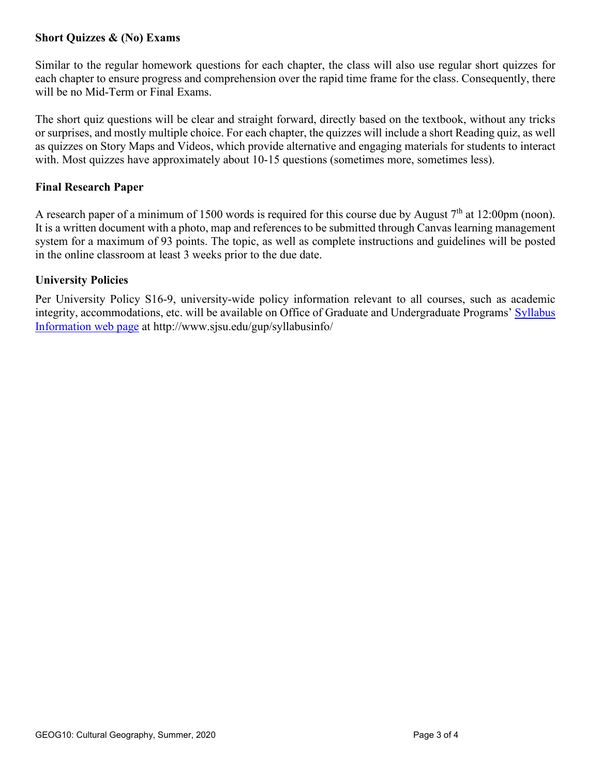## **Short Quizzes & (No) Exams**

Similar to the regular homework questions for each chapter, the class will also use regular short quizzes for each chapter to ensure progress and comprehension over the rapid time frame for the class. Consequently, there will be no Mid-Term or Final Exams.

The short quiz questions will be clear and straight forward, directly based on the textbook, without any tricks or surprises, and mostly multiple choice. For each chapter, the quizzes will include a short Reading quiz, as well as quizzes on Story Maps and Videos, which provide alternative and engaging materials for students to interact with. Most quizzes have approximately about 10-15 questions (sometimes more, sometimes less).

#### **Final Research Paper**

A research paper of a minimum of 1500 words is required for this course due by August  $7<sup>th</sup>$  at 12:00pm (noon). It is a written document with a photo, map and references to be submitted through Canvas learning management system for a maximum of 93 points. The topic, as well as complete instructions and guidelines will be posted in the online classroom at least 3 weeks prior to the due date.

### **University Policies**

Per University Policy S16-9, university-wide policy information relevant to all courses, such as academic integrity, accommodations, etc. will be available on Office of Graduate and Undergraduate Programs' [Syllabus](http://www.sjsu.edu/gup/syllabusinfo/)  [Information](http://www.sjsu.edu/gup/syllabusinfo/) web page at http://www.sjsu.edu/gup/syllabusinfo/